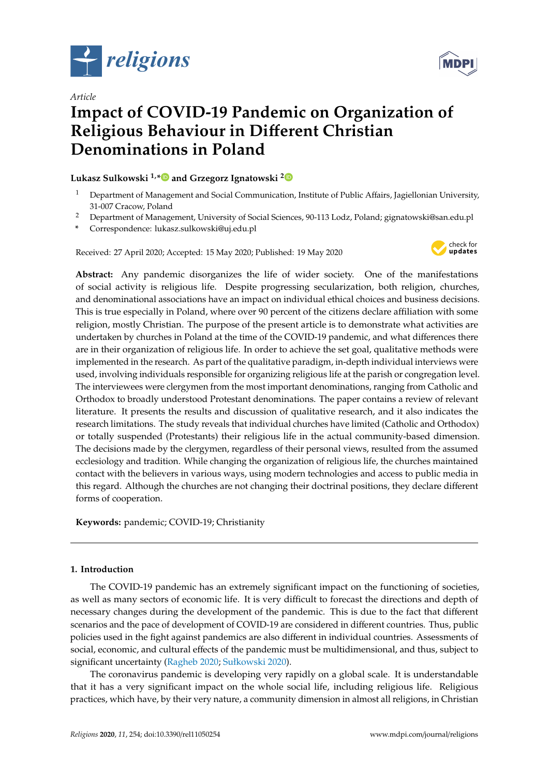

*Article*



# **Impact of COVID-19 Pandemic on Organization of Religious Behaviour in Di**ff**erent Christian Denominations in Poland**

# **Lukasz Sulkowski 1,[\\*](https://orcid.org/0000-0002-1248-2743) and Grzegorz Ignatowski [2](https://orcid.org/0000-0002-4432-8476)**

- $1$  Department of Management and Social Communication, Institute of Public Affairs, Jagiellonian University, 31-007 Cracow, Poland
- <sup>2</sup> Department of Management, University of Social Sciences, 90-113 Lodz, Poland; gignatowski@san.edu.pl
- **\*** Correspondence: lukasz.sulkowski@uj.edu.pl

Received: 27 April 2020; Accepted: 15 May 2020; Published: 19 May 2020



**Abstract:** Any pandemic disorganizes the life of wider society. One of the manifestations of social activity is religious life. Despite progressing secularization, both religion, churches, and denominational associations have an impact on individual ethical choices and business decisions. This is true especially in Poland, where over 90 percent of the citizens declare affiliation with some religion, mostly Christian. The purpose of the present article is to demonstrate what activities are undertaken by churches in Poland at the time of the COVID-19 pandemic, and what differences there are in their organization of religious life. In order to achieve the set goal, qualitative methods were implemented in the research. As part of the qualitative paradigm, in-depth individual interviews were used, involving individuals responsible for organizing religious life at the parish or congregation level. The interviewees were clergymen from the most important denominations, ranging from Catholic and Orthodox to broadly understood Protestant denominations. The paper contains a review of relevant literature. It presents the results and discussion of qualitative research, and it also indicates the research limitations. The study reveals that individual churches have limited (Catholic and Orthodox) or totally suspended (Protestants) their religious life in the actual community-based dimension. The decisions made by the clergymen, regardless of their personal views, resulted from the assumed ecclesiology and tradition. While changing the organization of religious life, the churches maintained contact with the believers in various ways, using modern technologies and access to public media in this regard. Although the churches are not changing their doctrinal positions, they declare different forms of cooperation.

**Keywords:** pandemic; COVID-19; Christianity

## **1. Introduction**

The COVID-19 pandemic has an extremely significant impact on the functioning of societies, as well as many sectors of economic life. It is very difficult to forecast the directions and depth of necessary changes during the development of the pandemic. This is due to the fact that different scenarios and the pace of development of COVID-19 are considered in different countries. Thus, public policies used in the fight against pandemics are also different in individual countries. Assessments of social, economic, and cultural effects of the pandemic must be multidimensional, and thus, subject to significant uncertainty [\(Ragheb](#page-13-0) [2020;](#page-13-0) [Sułkowski](#page-14-0) [2020\)](#page-14-0).

The coronavirus pandemic is developing very rapidly on a global scale. It is understandable that it has a very significant impact on the whole social life, including religious life. Religious practices, which have, by their very nature, a community dimension in almost all religions, in Christian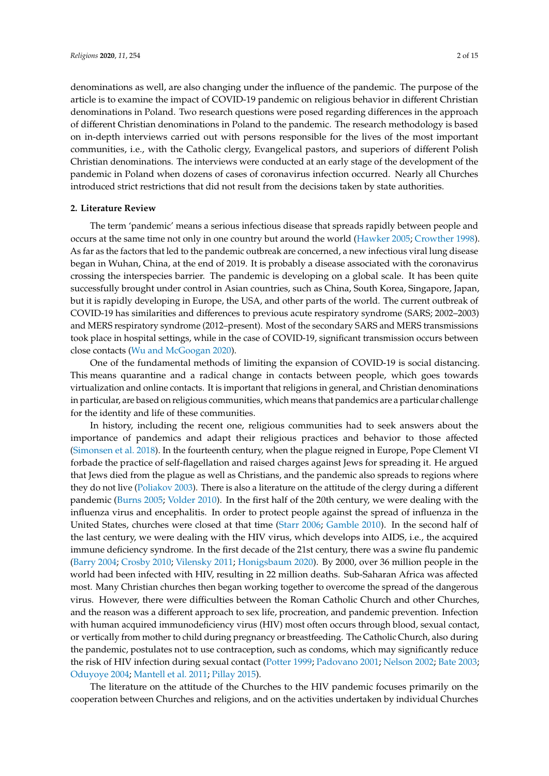denominations as well, are also changing under the influence of the pandemic. The purpose of the article is to examine the impact of COVID-19 pandemic on religious behavior in different Christian denominations in Poland. Two research questions were posed regarding differences in the approach of different Christian denominations in Poland to the pandemic. The research methodology is based on in-depth interviews carried out with persons responsible for the lives of the most important communities, i.e., with the Catholic clergy, Evangelical pastors, and superiors of different Polish Christian denominations. The interviews were conducted at an early stage of the development of the pandemic in Poland when dozens of cases of coronavirus infection occurred. Nearly all Churches

#### **2. Literature Review**

The term 'pandemic' means a serious infectious disease that spreads rapidly between people and occurs at the same time not only in one country but around the world [\(Hawker](#page-12-0) [2005;](#page-12-0) [Crowther](#page-11-0) [1998\)](#page-11-0). As far as the factors that led to the pandemic outbreak are concerned, a new infectious viral lung disease began in Wuhan, China, at the end of 2019. It is probably a disease associated with the coronavirus crossing the interspecies barrier. The pandemic is developing on a global scale. It has been quite successfully brought under control in Asian countries, such as China, South Korea, Singapore, Japan, but it is rapidly developing in Europe, the USA, and other parts of the world. The current outbreak of COVID-19 has similarities and differences to previous acute respiratory syndrome (SARS; 2002–2003) and MERS respiratory syndrome (2012–present). Most of the secondary SARS and MERS transmissions took place in hospital settings, while in the case of COVID-19, significant transmission occurs between close contacts [\(Wu and McGoogan](#page-14-1) [2020\)](#page-14-1).

introduced strict restrictions that did not result from the decisions taken by state authorities.

One of the fundamental methods of limiting the expansion of COVID-19 is social distancing. This means quarantine and a radical change in contacts between people, which goes towards virtualization and online contacts. It is important that religions in general, and Christian denominations in particular, are based on religious communities, which means that pandemics are a particular challenge for the identity and life of these communities.

In history, including the recent one, religious communities had to seek answers about the importance of pandemics and adapt their religious practices and behavior to those affected [\(Simonsen et al.](#page-13-1) [2018\)](#page-13-1). In the fourteenth century, when the plague reigned in Europe, Pope Clement VI forbade the practice of self-flagellation and raised charges against Jews for spreading it. He argued that Jews died from the plague as well as Christians, and the pandemic also spreads to regions where they do not live [\(Poliakov](#page-13-2) [2003\)](#page-13-2). There is also a literature on the attitude of the clergy during a different pandemic [\(Burns](#page-11-1) [2005;](#page-11-1) [Volder](#page-14-2) [2010\)](#page-14-2). In the first half of the 20th century, we were dealing with the influenza virus and encephalitis. In order to protect people against the spread of influenza in the United States, churches were closed at that time [\(Starr](#page-13-3) [2006;](#page-13-3) [Gamble](#page-11-2) [2010\)](#page-11-2). In the second half of the last century, we were dealing with the HIV virus, which develops into AIDS, i.e., the acquired immune deficiency syndrome. In the first decade of the 21st century, there was a swine flu pandemic [\(Barry](#page-11-3) [2004;](#page-11-3) [Crosby](#page-11-4) [2010;](#page-11-4) [Vilensky](#page-14-3) [2011;](#page-14-3) [Honigsbaum](#page-12-1) [2020\)](#page-12-1). By 2000, over 36 million people in the world had been infected with HIV, resulting in 22 million deaths. Sub-Saharan Africa was affected most. Many Christian churches then began working together to overcome the spread of the dangerous virus. However, there were difficulties between the Roman Catholic Church and other Churches, and the reason was a different approach to sex life, procreation, and pandemic prevention. Infection with human acquired immunodeficiency virus (HIV) most often occurs through blood, sexual contact, or vertically from mother to child during pregnancy or breastfeeding. The Catholic Church, also during the pandemic, postulates not to use contraception, such as condoms, which may significantly reduce the risk of HIV infection during sexual contact [\(Potter](#page-13-4) [1999;](#page-13-4) [Padovano](#page-13-5) [2001;](#page-13-5) [Nelson](#page-13-6) [2002;](#page-13-6) [Bate](#page-11-5) [2003;](#page-11-5) [Oduyoye](#page-13-7) [2004;](#page-13-7) [Mantell et al.](#page-12-2) [2011;](#page-12-2) [Pillay](#page-13-8) [2015\)](#page-13-8).

The literature on the attitude of the Churches to the HIV pandemic focuses primarily on the cooperation between Churches and religions, and on the activities undertaken by individual Churches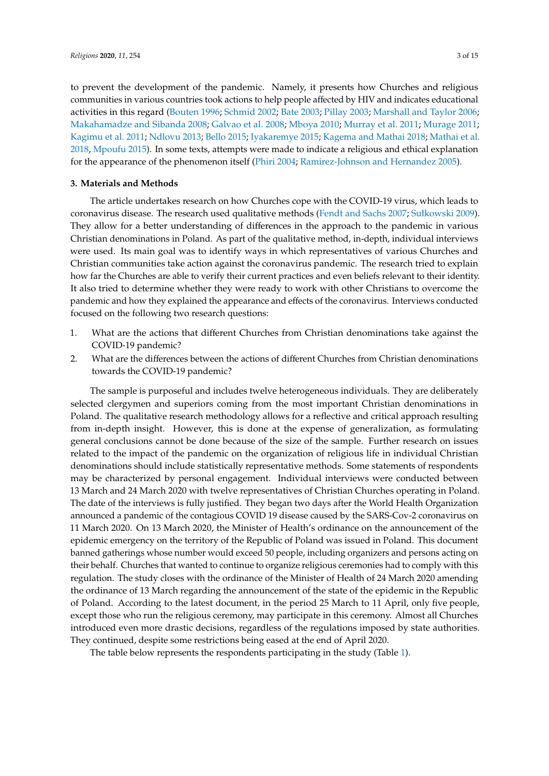to prevent the development of the pandemic. Namely, it presents how Churches and religious communities in various countries took actions to help people affected by HIV and indicates educational activities in this regard [\(Bouten](#page-11-6) [1996;](#page-11-6) [Schmid](#page-13-9) [2002;](#page-13-9) [Bate](#page-11-5) [2003;](#page-11-5) [Pillay](#page-13-10) [2003;](#page-13-10) [Marshall and Taylor](#page-12-3) [2006;](#page-12-3) [Makahamadze and Sibanda](#page-12-4) [2008;](#page-12-4) [Galvao et al.](#page-11-7) [2008;](#page-11-7) [Mboya](#page-12-5) [2010;](#page-12-5) [Murray et al.](#page-13-11) [2011;](#page-13-11) [Murage](#page-13-12) [2011;](#page-13-12) [Kagimu et al.](#page-12-6) [2011;](#page-12-6) [Ndlovu](#page-13-13) [2013;](#page-13-13) [Bello](#page-11-8) [2015;](#page-11-8) [Iyakaremye](#page-12-7) [2015;](#page-12-7) [Kagema and Mathai](#page-12-8) [2018;](#page-12-8) [Mathai et al.](#page-12-9) [2018,](#page-12-9) [Mpoufu](#page-13-14) [2015\)](#page-13-14). In some texts, attempts were made to indicate a religious and ethical explanation for the appearance of the phenomenon itself [\(Phiri](#page-13-15) [2004;](#page-13-15) [Ramirez-Johnson and Hernandez](#page-13-16) [2005\)](#page-13-16).

### **3. Materials and Methods**

The article undertakes research on how Churches cope with the COVID-19 virus, which leads to coronavirus disease. The research used qualitative methods [\(Fendt and Sachs](#page-11-9) [2007;](#page-11-9) [Sułkowski](#page-13-17) [2009\)](#page-13-17). They allow for a better understanding of differences in the approach to the pandemic in various Christian denominations in Poland. As part of the qualitative method, in-depth, individual interviews were used. Its main goal was to identify ways in which representatives of various Churches and Christian communities take action against the coronavirus pandemic. The research tried to explain how far the Churches are able to verify their current practices and even beliefs relevant to their identity. It also tried to determine whether they were ready to work with other Christians to overcome the pandemic and how they explained the appearance and effects of the coronavirus. Interviews conducted focused on the following two research questions:

- 1. What are the actions that different Churches from Christian denominations take against the COVID-19 pandemic?
- 2. What are the differences between the actions of different Churches from Christian denominations towards the COVID-19 pandemic?

The sample is purposeful and includes twelve heterogeneous individuals. They are deliberately selected clergymen and superiors coming from the most important Christian denominations in Poland. The qualitative research methodology allows for a reflective and critical approach resulting from in-depth insight. However, this is done at the expense of generalization, as formulating general conclusions cannot be done because of the size of the sample. Further research on issues related to the impact of the pandemic on the organization of religious life in individual Christian denominations should include statistically representative methods. Some statements of respondents may be characterized by personal engagement. Individual interviews were conducted between 13 March and 24 March 2020 with twelve representatives of Christian Churches operating in Poland. The date of the interviews is fully justified. They began two days after the World Health Organization announced a pandemic of the contagious COVID 19 disease caused by the SARS-Cov-2 coronavirus on 11 March 2020. On 13 March 2020, the Minister of Health's ordinance on the announcement of the epidemic emergency on the territory of the Republic of Poland was issued in Poland. This document banned gatherings whose number would exceed 50 people, including organizers and persons acting on their behalf. Churches that wanted to continue to organize religious ceremonies had to comply with this regulation. The study closes with the ordinance of the Minister of Health of 24 March 2020 amending the ordinance of 13 March regarding the announcement of the state of the epidemic in the Republic of Poland. According to the latest document, in the period 25 March to 11 April, only five people, except those who run the religious ceremony, may participate in this ceremony. Almost all Churches introduced even more drastic decisions, regardless of the regulations imposed by state authorities. They continued, despite some restrictions being eased at the end of April 2020.

The table below represents the respondents participating in the study (Table [1\)](#page-3-0).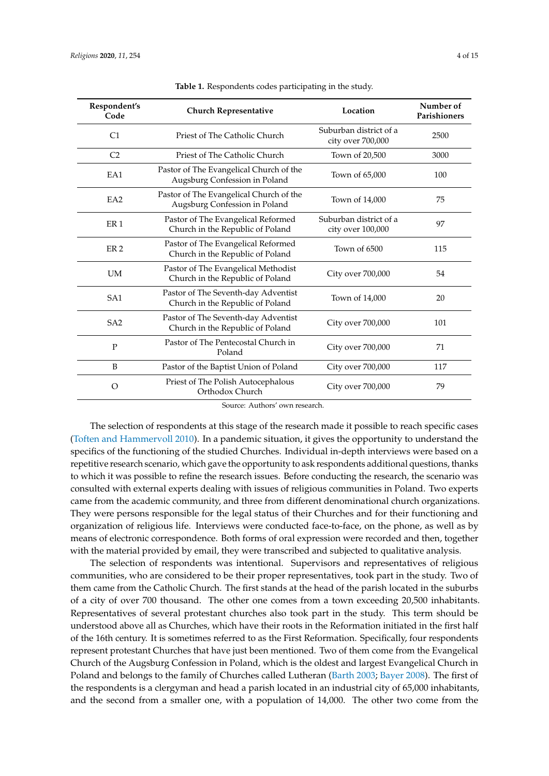<span id="page-3-0"></span>

| Respondent's<br>Code | <b>Church Representative</b>                                             | Location                                    | Number of<br>Parishioners |
|----------------------|--------------------------------------------------------------------------|---------------------------------------------|---------------------------|
| C <sub>1</sub>       | Priest of The Catholic Church                                            | Suburban district of a<br>city over 700,000 | 2500                      |
| C <sub>2</sub>       | Priest of The Catholic Church                                            | Town of 20,500                              | 3000                      |
| EA1                  | Pastor of The Evangelical Church of the<br>Augsburg Confession in Poland | Town of 65,000                              | 100                       |
| EA2                  | Pastor of The Evangelical Church of the<br>Augsburg Confession in Poland | Town of 14,000                              | 75                        |
| ER <sub>1</sub>      | Pastor of The Evangelical Reformed<br>Church in the Republic of Poland   | Suburban district of a<br>city over 100,000 | 97                        |
| ER <sub>2</sub>      | Pastor of The Evangelical Reformed<br>Church in the Republic of Poland   | Town of 6500                                | 115                       |
| <b>UM</b>            | Pastor of The Evangelical Methodist<br>Church in the Republic of Poland  | City over 700,000                           | 54                        |
| SA <sub>1</sub>      | Pastor of The Seventh-day Adventist<br>Church in the Republic of Poland  | Town of 14,000                              | 20                        |
| SA <sub>2</sub>      | Pastor of The Seventh-day Adventist<br>Church in the Republic of Poland  | City over 700,000                           | 101                       |
| $\mathbf{P}$         | Pastor of The Pentecostal Church in<br>Poland                            | City over 700,000                           | 71                        |
| B                    | Pastor of the Baptist Union of Poland                                    | City over 700,000                           | 117                       |
| $\Omega$             | Priest of The Polish Autocephalous<br>Orthodox Church                    | City over 700,000                           | 79                        |

**Table 1.** Respondents codes participating in the study.

Source: Authors' own research.

The selection of respondents at this stage of the research made it possible to reach specific cases [\(Toften and Hammervoll](#page-14-4) [2010\)](#page-14-4). In a pandemic situation, it gives the opportunity to understand the specifics of the functioning of the studied Churches. Individual in-depth interviews were based on a repetitive research scenario, which gave the opportunity to ask respondents additional questions, thanks to which it was possible to refine the research issues. Before conducting the research, the scenario was consulted with external experts dealing with issues of religious communities in Poland. Two experts came from the academic community, and three from different denominational church organizations. They were persons responsible for the legal status of their Churches and for their functioning and organization of religious life. Interviews were conducted face-to-face, on the phone, as well as by means of electronic correspondence. Both forms of oral expression were recorded and then, together with the material provided by email, they were transcribed and subjected to qualitative analysis.

The selection of respondents was intentional. Supervisors and representatives of religious communities, who are considered to be their proper representatives, took part in the study. Two of them came from the Catholic Church. The first stands at the head of the parish located in the suburbs of a city of over 700 thousand. The other one comes from a town exceeding 20,500 inhabitants. Representatives of several protestant churches also took part in the study. This term should be understood above all as Churches, which have their roots in the Reformation initiated in the first half of the 16th century. It is sometimes referred to as the First Reformation. Specifically, four respondents represent protestant Churches that have just been mentioned. Two of them come from the Evangelical Church of the Augsburg Confession in Poland, which is the oldest and largest Evangelical Church in Poland and belongs to the family of Churches called Lutheran [\(Barth](#page-11-10) [2003;](#page-11-10) [Bayer](#page-11-11) [2008\)](#page-11-11). The first of the respondents is a clergyman and head a parish located in an industrial city of 65,000 inhabitants, and the second from a smaller one, with a population of 14,000. The other two come from the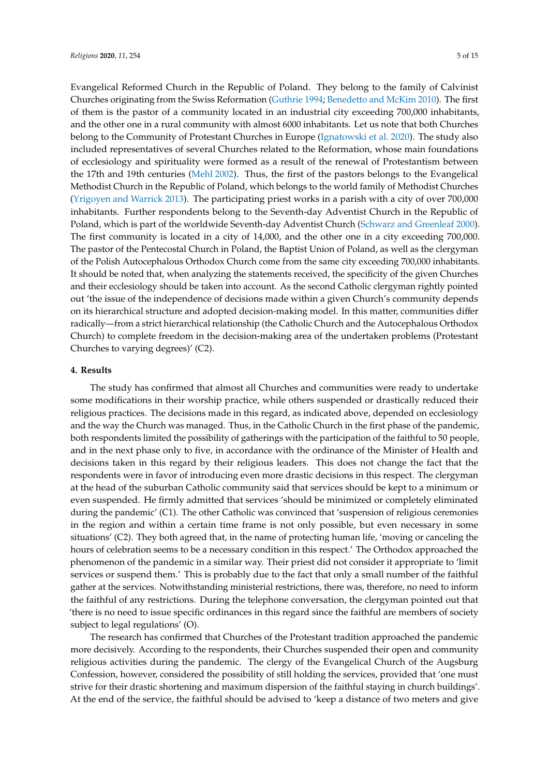Evangelical Reformed Church in the Republic of Poland. They belong to the family of Calvinist Churches originating from the Swiss Reformation [\(Guthrie](#page-11-12) [1994;](#page-11-12) [Benedetto and McKim](#page-11-13) [2010\)](#page-11-13). The first of them is the pastor of a community located in an industrial city exceeding 700,000 inhabitants, and the other one in a rural community with almost 6000 inhabitants. Let us note that both Churches belong to the Community of Protestant Churches in Europe [\(Ignatowski et al.](#page-12-10) [2020\)](#page-12-10). The study also included representatives of several Churches related to the Reformation, whose main foundations of ecclesiology and spirituality were formed as a result of the renewal of Protestantism between the 17th and 19th centuries [\(Mehl](#page-12-11) [2002\)](#page-12-11). Thus, the first of the pastors belongs to the Evangelical Methodist Church in the Republic of Poland, which belongs to the world family of Methodist Churches [\(Yrigoyen and Warrick](#page-14-5) [2013\)](#page-14-5). The participating priest works in a parish with a city of over 700,000 inhabitants. Further respondents belong to the Seventh-day Adventist Church in the Republic of Poland, which is part of the worldwide Seventh-day Adventist Church [\(Schwarz and Greenleaf](#page-13-18) [2000\)](#page-13-18). The first community is located in a city of 14,000, and the other one in a city exceeding 700,000. The pastor of the Pentecostal Church in Poland, the Baptist Union of Poland, as well as the clergyman of the Polish Autocephalous Orthodox Church come from the same city exceeding 700,000 inhabitants. It should be noted that, when analyzing the statements received, the specificity of the given Churches and their ecclesiology should be taken into account. As the second Catholic clergyman rightly pointed out 'the issue of the independence of decisions made within a given Church's community depends on its hierarchical structure and adopted decision-making model. In this matter, communities differ radically—from a strict hierarchical relationship (the Catholic Church and the Autocephalous Orthodox Church) to complete freedom in the decision-making area of the undertaken problems (Protestant Churches to varying degrees)' (C2).

### **4. Results**

The study has confirmed that almost all Churches and communities were ready to undertake some modifications in their worship practice, while others suspended or drastically reduced their religious practices. The decisions made in this regard, as indicated above, depended on ecclesiology and the way the Church was managed. Thus, in the Catholic Church in the first phase of the pandemic, both respondents limited the possibility of gatherings with the participation of the faithful to 50 people, and in the next phase only to five, in accordance with the ordinance of the Minister of Health and decisions taken in this regard by their religious leaders. This does not change the fact that the respondents were in favor of introducing even more drastic decisions in this respect. The clergyman at the head of the suburban Catholic community said that services should be kept to a minimum or even suspended. He firmly admitted that services 'should be minimized or completely eliminated during the pandemic' (C1). The other Catholic was convinced that 'suspension of religious ceremonies in the region and within a certain time frame is not only possible, but even necessary in some situations' (C2). They both agreed that, in the name of protecting human life, 'moving or canceling the hours of celebration seems to be a necessary condition in this respect.' The Orthodox approached the phenomenon of the pandemic in a similar way. Their priest did not consider it appropriate to 'limit services or suspend them.' This is probably due to the fact that only a small number of the faithful gather at the services. Notwithstanding ministerial restrictions, there was, therefore, no need to inform the faithful of any restrictions. During the telephone conversation, the clergyman pointed out that 'there is no need to issue specific ordinances in this regard since the faithful are members of society subject to legal regulations' (O).

The research has confirmed that Churches of the Protestant tradition approached the pandemic more decisively. According to the respondents, their Churches suspended their open and community religious activities during the pandemic. The clergy of the Evangelical Church of the Augsburg Confession, however, considered the possibility of still holding the services, provided that 'one must strive for their drastic shortening and maximum dispersion of the faithful staying in church buildings'. At the end of the service, the faithful should be advised to 'keep a distance of two meters and give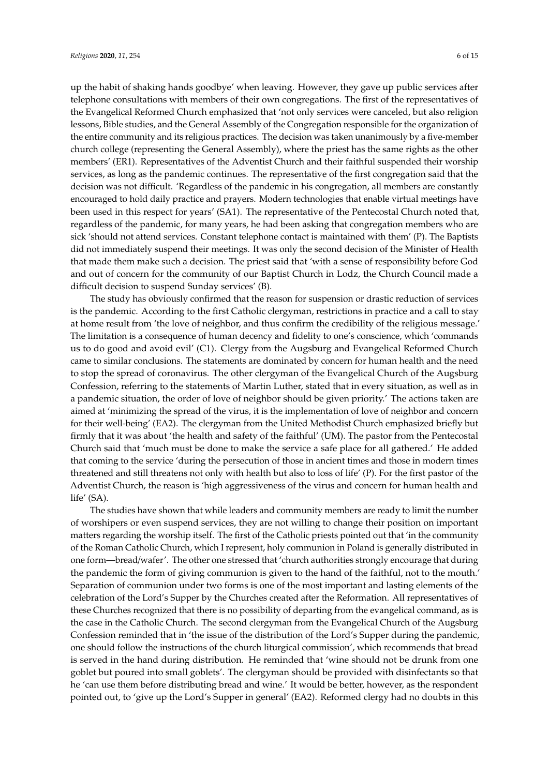up the habit of shaking hands goodbye' when leaving. However, they gave up public services after telephone consultations with members of their own congregations. The first of the representatives of the Evangelical Reformed Church emphasized that 'not only services were canceled, but also religion lessons, Bible studies, and the General Assembly of the Congregation responsible for the organization of the entire community and its religious practices. The decision was taken unanimously by a five-member church college (representing the General Assembly), where the priest has the same rights as the other members' (ER1). Representatives of the Adventist Church and their faithful suspended their worship services, as long as the pandemic continues. The representative of the first congregation said that the decision was not difficult. 'Regardless of the pandemic in his congregation, all members are constantly encouraged to hold daily practice and prayers. Modern technologies that enable virtual meetings have been used in this respect for years' (SA1). The representative of the Pentecostal Church noted that, regardless of the pandemic, for many years, he had been asking that congregation members who are sick 'should not attend services. Constant telephone contact is maintained with them' (P). The Baptists did not immediately suspend their meetings. It was only the second decision of the Minister of Health that made them make such a decision. The priest said that 'with a sense of responsibility before God and out of concern for the community of our Baptist Church in Lodz, the Church Council made a difficult decision to suspend Sunday services' (B).

The study has obviously confirmed that the reason for suspension or drastic reduction of services is the pandemic. According to the first Catholic clergyman, restrictions in practice and a call to stay at home result from 'the love of neighbor, and thus confirm the credibility of the religious message.' The limitation is a consequence of human decency and fidelity to one's conscience, which 'commands us to do good and avoid evil' (C1). Clergy from the Augsburg and Evangelical Reformed Church came to similar conclusions. The statements are dominated by concern for human health and the need to stop the spread of coronavirus. The other clergyman of the Evangelical Church of the Augsburg Confession, referring to the statements of Martin Luther, stated that in every situation, as well as in a pandemic situation, the order of love of neighbor should be given priority.' The actions taken are aimed at 'minimizing the spread of the virus, it is the implementation of love of neighbor and concern for their well-being' (EA2). The clergyman from the United Methodist Church emphasized briefly but firmly that it was about 'the health and safety of the faithful' (UM). The pastor from the Pentecostal Church said that 'much must be done to make the service a safe place for all gathered.' He added that coming to the service 'during the persecution of those in ancient times and those in modern times threatened and still threatens not only with health but also to loss of life' (P). For the first pastor of the Adventist Church, the reason is 'high aggressiveness of the virus and concern for human health and life' (SA).

The studies have shown that while leaders and community members are ready to limit the number of worshipers or even suspend services, they are not willing to change their position on important matters regarding the worship itself. The first of the Catholic priests pointed out that 'in the community of the Roman Catholic Church, which I represent, holy communion in Poland is generally distributed in one form—bread/wafer'. The other one stressed that 'church authorities strongly encourage that during the pandemic the form of giving communion is given to the hand of the faithful, not to the mouth.' Separation of communion under two forms is one of the most important and lasting elements of the celebration of the Lord's Supper by the Churches created after the Reformation. All representatives of these Churches recognized that there is no possibility of departing from the evangelical command, as is the case in the Catholic Church. The second clergyman from the Evangelical Church of the Augsburg Confession reminded that in 'the issue of the distribution of the Lord's Supper during the pandemic, one should follow the instructions of the church liturgical commission', which recommends that bread is served in the hand during distribution. He reminded that 'wine should not be drunk from one goblet but poured into small goblets'. The clergyman should be provided with disinfectants so that he 'can use them before distributing bread and wine.' It would be better, however, as the respondent pointed out, to 'give up the Lord's Supper in general' (EA2). Reformed clergy had no doubts in this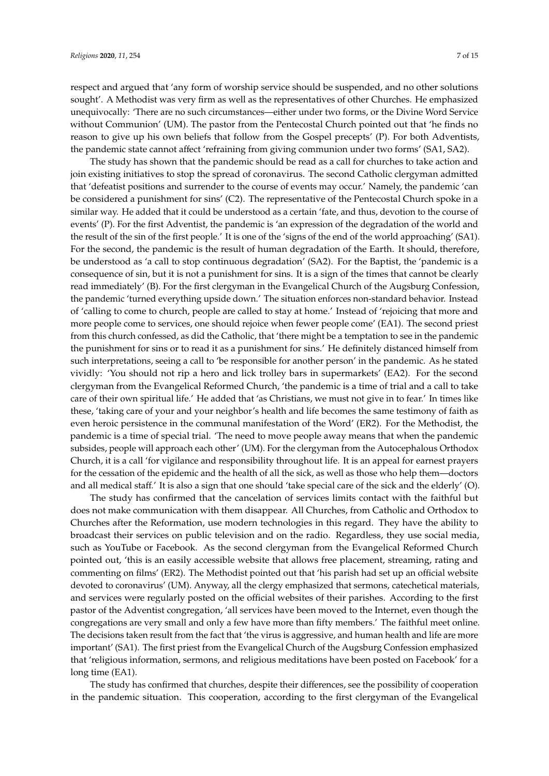respect and argued that 'any form of worship service should be suspended, and no other solutions sought'. A Methodist was very firm as well as the representatives of other Churches. He emphasized unequivocally: 'There are no such circumstances—either under two forms, or the Divine Word Service without Communion' (UM). The pastor from the Pentecostal Church pointed out that 'he finds no reason to give up his own beliefs that follow from the Gospel precepts' (P). For both Adventists, the pandemic state cannot affect 'refraining from giving communion under two forms' (SA1, SA2).

The study has shown that the pandemic should be read as a call for churches to take action and join existing initiatives to stop the spread of coronavirus. The second Catholic clergyman admitted that 'defeatist positions and surrender to the course of events may occur.' Namely, the pandemic 'can be considered a punishment for sins' (C2). The representative of the Pentecostal Church spoke in a similar way. He added that it could be understood as a certain 'fate, and thus, devotion to the course of events' (P). For the first Adventist, the pandemic is 'an expression of the degradation of the world and the result of the sin of the first people.' It is one of the 'signs of the end of the world approaching' (SA1). For the second, the pandemic is the result of human degradation of the Earth. It should, therefore, be understood as 'a call to stop continuous degradation' (SA2). For the Baptist, the 'pandemic is a consequence of sin, but it is not a punishment for sins. It is a sign of the times that cannot be clearly read immediately' (B). For the first clergyman in the Evangelical Church of the Augsburg Confession, the pandemic 'turned everything upside down.' The situation enforces non-standard behavior. Instead of 'calling to come to church, people are called to stay at home.' Instead of 'rejoicing that more and more people come to services, one should rejoice when fewer people come' (EA1). The second priest from this church confessed, as did the Catholic, that 'there might be a temptation to see in the pandemic the punishment for sins or to read it as a punishment for sins.' He definitely distanced himself from such interpretations, seeing a call to 'be responsible for another person' in the pandemic. As he stated vividly: 'You should not rip a hero and lick trolley bars in supermarkets' (EA2). For the second clergyman from the Evangelical Reformed Church, 'the pandemic is a time of trial and a call to take care of their own spiritual life.' He added that 'as Christians, we must not give in to fear.' In times like these, 'taking care of your and your neighbor's health and life becomes the same testimony of faith as even heroic persistence in the communal manifestation of the Word' (ER2). For the Methodist, the pandemic is a time of special trial. 'The need to move people away means that when the pandemic subsides, people will approach each other' (UM). For the clergyman from the Autocephalous Orthodox Church, it is a call 'for vigilance and responsibility throughout life. It is an appeal for earnest prayers for the cessation of the epidemic and the health of all the sick, as well as those who help them—doctors and all medical staff.' It is also a sign that one should 'take special care of the sick and the elderly' (O).

The study has confirmed that the cancelation of services limits contact with the faithful but does not make communication with them disappear. All Churches, from Catholic and Orthodox to Churches after the Reformation, use modern technologies in this regard. They have the ability to broadcast their services on public television and on the radio. Regardless, they use social media, such as YouTube or Facebook. As the second clergyman from the Evangelical Reformed Church pointed out, 'this is an easily accessible website that allows free placement, streaming, rating and commenting on films' (ER2). The Methodist pointed out that 'his parish had set up an official website devoted to coronavirus' (UM). Anyway, all the clergy emphasized that sermons, catechetical materials, and services were regularly posted on the official websites of their parishes. According to the first pastor of the Adventist congregation, 'all services have been moved to the Internet, even though the congregations are very small and only a few have more than fifty members.' The faithful meet online. The decisions taken result from the fact that 'the virus is aggressive, and human health and life are more important' (SA1). The first priest from the Evangelical Church of the Augsburg Confession emphasized that 'religious information, sermons, and religious meditations have been posted on Facebook' for a long time (EA1).

The study has confirmed that churches, despite their differences, see the possibility of cooperation in the pandemic situation. This cooperation, according to the first clergyman of the Evangelical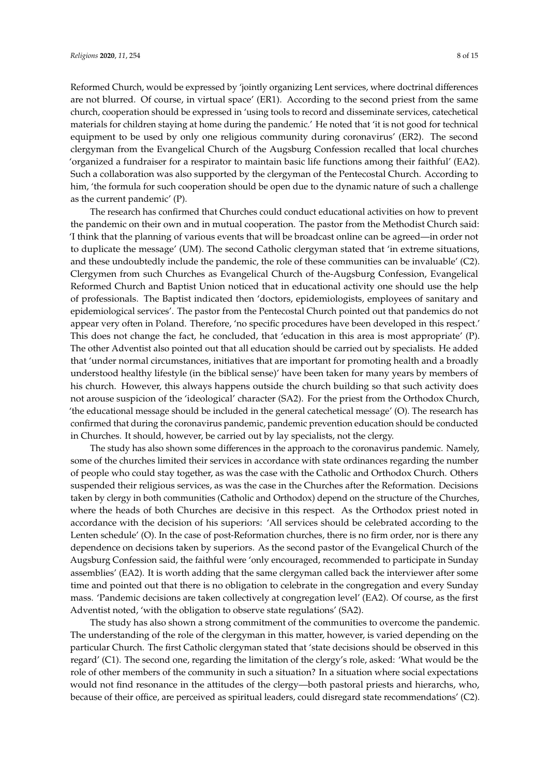Reformed Church, would be expressed by 'jointly organizing Lent services, where doctrinal differences are not blurred. Of course, in virtual space' (ER1). According to the second priest from the same church, cooperation should be expressed in 'using tools to record and disseminate services, catechetical materials for children staying at home during the pandemic.' He noted that 'it is not good for technical equipment to be used by only one religious community during coronavirus' (ER2). The second clergyman from the Evangelical Church of the Augsburg Confession recalled that local churches 'organized a fundraiser for a respirator to maintain basic life functions among their faithful' (EA2). Such a collaboration was also supported by the clergyman of the Pentecostal Church. According to him, 'the formula for such cooperation should be open due to the dynamic nature of such a challenge as the current pandemic' (P).

The research has confirmed that Churches could conduct educational activities on how to prevent the pandemic on their own and in mutual cooperation. The pastor from the Methodist Church said: 'I think that the planning of various events that will be broadcast online can be agreed—in order not to duplicate the message' (UM). The second Catholic clergyman stated that 'in extreme situations, and these undoubtedly include the pandemic, the role of these communities can be invaluable' (C2). Clergymen from such Churches as Evangelical Church of the-Augsburg Confession, Evangelical Reformed Church and Baptist Union noticed that in educational activity one should use the help of professionals. The Baptist indicated then 'doctors, epidemiologists, employees of sanitary and epidemiological services'. The pastor from the Pentecostal Church pointed out that pandemics do not appear very often in Poland. Therefore, 'no specific procedures have been developed in this respect.' This does not change the fact, he concluded, that 'education in this area is most appropriate' (P). The other Adventist also pointed out that all education should be carried out by specialists. He added that 'under normal circumstances, initiatives that are important for promoting health and a broadly understood healthy lifestyle (in the biblical sense)' have been taken for many years by members of his church. However, this always happens outside the church building so that such activity does not arouse suspicion of the 'ideological' character (SA2). For the priest from the Orthodox Church, 'the educational message should be included in the general catechetical message' (O). The research has confirmed that during the coronavirus pandemic, pandemic prevention education should be conducted in Churches. It should, however, be carried out by lay specialists, not the clergy.

The study has also shown some differences in the approach to the coronavirus pandemic. Namely, some of the churches limited their services in accordance with state ordinances regarding the number of people who could stay together, as was the case with the Catholic and Orthodox Church. Others suspended their religious services, as was the case in the Churches after the Reformation. Decisions taken by clergy in both communities (Catholic and Orthodox) depend on the structure of the Churches, where the heads of both Churches are decisive in this respect. As the Orthodox priest noted in accordance with the decision of his superiors: 'All services should be celebrated according to the Lenten schedule' (O). In the case of post-Reformation churches, there is no firm order, nor is there any dependence on decisions taken by superiors. As the second pastor of the Evangelical Church of the Augsburg Confession said, the faithful were 'only encouraged, recommended to participate in Sunday assemblies' (EA2). It is worth adding that the same clergyman called back the interviewer after some time and pointed out that there is no obligation to celebrate in the congregation and every Sunday mass. 'Pandemic decisions are taken collectively at congregation level' (EA2). Of course, as the first Adventist noted, 'with the obligation to observe state regulations' (SA2).

The study has also shown a strong commitment of the communities to overcome the pandemic. The understanding of the role of the clergyman in this matter, however, is varied depending on the particular Church. The first Catholic clergyman stated that 'state decisions should be observed in this regard' (C1). The second one, regarding the limitation of the clergy's role, asked: 'What would be the role of other members of the community in such a situation? In a situation where social expectations would not find resonance in the attitudes of the clergy—both pastoral priests and hierarchs, who, because of their office, are perceived as spiritual leaders, could disregard state recommendations' (C2).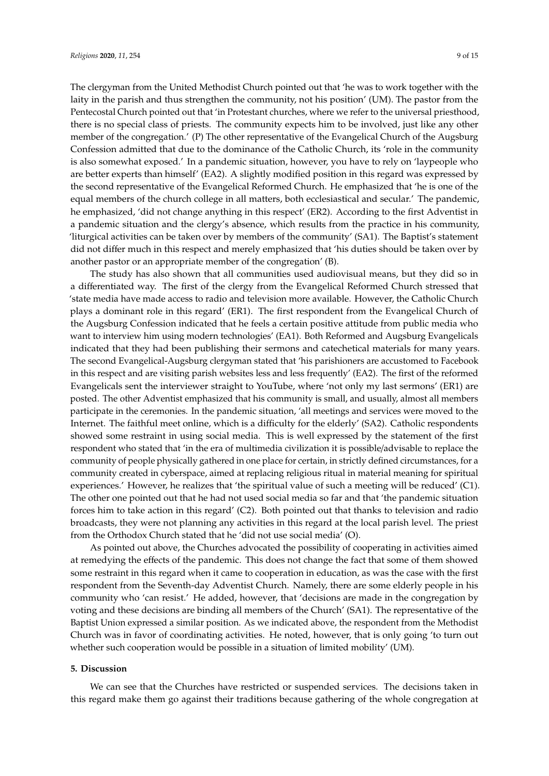The clergyman from the United Methodist Church pointed out that 'he was to work together with the

laity in the parish and thus strengthen the community, not his position' (UM). The pastor from the Pentecostal Church pointed out that 'in Protestant churches, where we refer to the universal priesthood, there is no special class of priests. The community expects him to be involved, just like any other member of the congregation.' (P) The other representative of the Evangelical Church of the Augsburg Confession admitted that due to the dominance of the Catholic Church, its 'role in the community is also somewhat exposed.' In a pandemic situation, however, you have to rely on 'laypeople who are better experts than himself' (EA2). A slightly modified position in this regard was expressed by the second representative of the Evangelical Reformed Church. He emphasized that 'he is one of the equal members of the church college in all matters, both ecclesiastical and secular.' The pandemic, he emphasized, 'did not change anything in this respect' (ER2). According to the first Adventist in a pandemic situation and the clergy's absence, which results from the practice in his community, 'liturgical activities can be taken over by members of the community' (SA1). The Baptist's statement did not differ much in this respect and merely emphasized that 'his duties should be taken over by another pastor or an appropriate member of the congregation' (B).

The study has also shown that all communities used audiovisual means, but they did so in a differentiated way. The first of the clergy from the Evangelical Reformed Church stressed that 'state media have made access to radio and television more available. However, the Catholic Church plays a dominant role in this regard' (ER1). The first respondent from the Evangelical Church of the Augsburg Confession indicated that he feels a certain positive attitude from public media who want to interview him using modern technologies' (EA1). Both Reformed and Augsburg Evangelicals indicated that they had been publishing their sermons and catechetical materials for many years. The second Evangelical-Augsburg clergyman stated that 'his parishioners are accustomed to Facebook in this respect and are visiting parish websites less and less frequently' (EA2). The first of the reformed Evangelicals sent the interviewer straight to YouTube, where 'not only my last sermons' (ER1) are posted. The other Adventist emphasized that his community is small, and usually, almost all members participate in the ceremonies. In the pandemic situation, 'all meetings and services were moved to the Internet. The faithful meet online, which is a difficulty for the elderly' (SA2). Catholic respondents showed some restraint in using social media. This is well expressed by the statement of the first respondent who stated that 'in the era of multimedia civilization it is possible/advisable to replace the community of people physically gathered in one place for certain, in strictly defined circumstances, for a community created in cyberspace, aimed at replacing religious ritual in material meaning for spiritual experiences.' However, he realizes that 'the spiritual value of such a meeting will be reduced' (C1). The other one pointed out that he had not used social media so far and that 'the pandemic situation forces him to take action in this regard' (C2). Both pointed out that thanks to television and radio broadcasts, they were not planning any activities in this regard at the local parish level. The priest from the Orthodox Church stated that he 'did not use social media' (O).

As pointed out above, the Churches advocated the possibility of cooperating in activities aimed at remedying the effects of the pandemic. This does not change the fact that some of them showed some restraint in this regard when it came to cooperation in education, as was the case with the first respondent from the Seventh-day Adventist Church. Namely, there are some elderly people in his community who 'can resist.' He added, however, that 'decisions are made in the congregation by voting and these decisions are binding all members of the Church' (SA1). The representative of the Baptist Union expressed a similar position. As we indicated above, the respondent from the Methodist Church was in favor of coordinating activities. He noted, however, that is only going 'to turn out whether such cooperation would be possible in a situation of limited mobility' (UM).

## **5. Discussion**

We can see that the Churches have restricted or suspended services. The decisions taken in this regard make them go against their traditions because gathering of the whole congregation at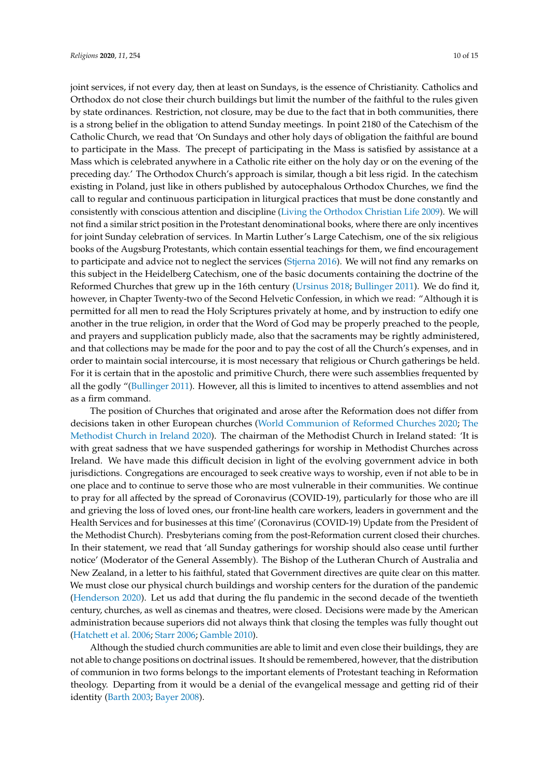joint services, if not every day, then at least on Sundays, is the essence of Christianity. Catholics and Orthodox do not close their church buildings but limit the number of the faithful to the rules given by state ordinances. Restriction, not closure, may be due to the fact that in both communities, there is a strong belief in the obligation to attend Sunday meetings. In point 2180 of the Catechism of the Catholic Church, we read that 'On Sundays and other holy days of obligation the faithful are bound to participate in the Mass. The precept of participating in the Mass is satisfied by assistance at a Mass which is celebrated anywhere in a Catholic rite either on the holy day or on the evening of the preceding day.' The Orthodox Church's approach is similar, though a bit less rigid. In the catechism existing in Poland, just like in others published by autocephalous Orthodox Churches, we find the call to regular and continuous participation in liturgical practices that must be done constantly and consistently with conscious attention and discipline [\(Living the Orthodox Christian Life](#page-12-12) [2009\)](#page-12-12). We will not find a similar strict position in the Protestant denominational books, where there are only incentives for joint Sunday celebration of services. In Martin Luther's Large Catechism, one of the six religious books of the Augsburg Protestants, which contain essential teachings for them, we find encouragement to participate and advice not to neglect the services [\(Stjerna](#page-13-19) [2016\)](#page-13-19). We will not find any remarks on this subject in the Heidelberg Catechism, one of the basic documents containing the doctrine of the Reformed Churches that grew up in the 16th century [\(Ursinus](#page-14-6) [2018;](#page-14-6) [Bullinger](#page-11-14) [2011\)](#page-11-14). We do find it, however, in Chapter Twenty-two of the Second Helvetic Confession, in which we read: "Although it is permitted for all men to read the Holy Scriptures privately at home, and by instruction to edify one another in the true religion, in order that the Word of God may be properly preached to the people, and prayers and supplication publicly made, also that the sacraments may be rightly administered, and that collections may be made for the poor and to pay the cost of all the Church's expenses, and in order to maintain social intercourse, it is most necessary that religious or Church gatherings be held. For it is certain that in the apostolic and primitive Church, there were such assemblies frequented by all the godly "[\(Bullinger](#page-11-14) [2011\)](#page-11-14). However, all this is limited to incentives to attend assemblies and not as a firm command.

The position of Churches that originated and arose after the Reformation does not differ from decisions taken in other European churches [\(World Communion of Reformed Churches](#page-14-7) [2020;](#page-14-7) [The](#page-14-8) [Methodist Church in Ireland](#page-14-8) [2020\)](#page-14-8). The chairman of the Methodist Church in Ireland stated: 'It is with great sadness that we have suspended gatherings for worship in Methodist Churches across Ireland. We have made this difficult decision in light of the evolving government advice in both jurisdictions. Congregations are encouraged to seek creative ways to worship, even if not able to be in one place and to continue to serve those who are most vulnerable in their communities. We continue to pray for all affected by the spread of Coronavirus (COVID-19), particularly for those who are ill and grieving the loss of loved ones, our front-line health care workers, leaders in government and the Health Services and for businesses at this time' (Coronavirus (COVID-19) Update from the President of the Methodist Church). Presbyterians coming from the post-Reformation current closed their churches. In their statement, we read that 'all Sunday gatherings for worship should also cease until further notice' (Moderator of the General Assembly). The Bishop of the Lutheran Church of Australia and New Zealand, in a letter to his faithful, stated that Government directives are quite clear on this matter. We must close our physical church buildings and worship centers for the duration of the pandemic [\(Henderson](#page-12-13) [2020\)](#page-12-13). Let us add that during the flu pandemic in the second decade of the twentieth century, churches, as well as cinemas and theatres, were closed. Decisions were made by the American administration because superiors did not always think that closing the temples was fully thought out [\(Hatchett et al.](#page-12-14) [2006;](#page-12-14) [Starr](#page-13-3) [2006;](#page-13-3) [Gamble](#page-11-2) [2010\)](#page-11-2).

Although the studied church communities are able to limit and even close their buildings, they are not able to change positions on doctrinal issues. It should be remembered, however, that the distribution of communion in two forms belongs to the important elements of Protestant teaching in Reformation theology. Departing from it would be a denial of the evangelical message and getting rid of their identity [\(Barth](#page-11-10) [2003;](#page-11-10) [Bayer](#page-11-11) [2008\)](#page-11-11).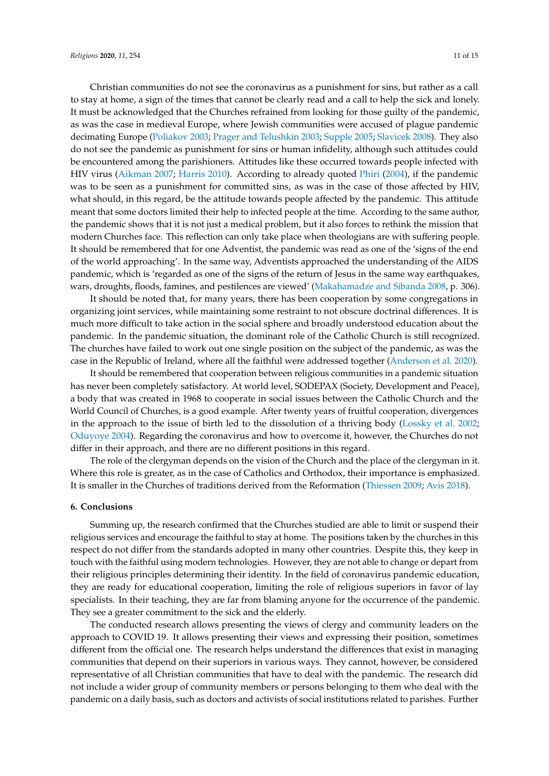Christian communities do not see the coronavirus as a punishment for sins, but rather as a call to stay at home, a sign of the times that cannot be clearly read and a call to help the sick and lonely. It must be acknowledged that the Churches refrained from looking for those guilty of the pandemic, as was the case in medieval Europe, where Jewish communities were accused of plague pandemic decimating Europe [\(Poliakov](#page-13-2) [2003;](#page-13-2) [Prager and Telushkin](#page-13-20) [2003;](#page-13-20) [Supple](#page-14-9) [2005;](#page-14-9) [Slavicek](#page-13-21) [2008\)](#page-13-21). They also do not see the pandemic as punishment for sins or human infidelity, although such attitudes could be encountered among the parishioners. Attitudes like these occurred towards people infected with HIV virus [\(Aikman](#page-11-15) [2007;](#page-11-15) [Harris](#page-11-16) [2010\)](#page-11-16). According to already quoted [Phiri](#page-13-15) [\(2004\)](#page-13-15), if the pandemic was to be seen as a punishment for committed sins, as was in the case of those affected by HIV, what should, in this regard, be the attitude towards people affected by the pandemic. This attitude meant that some doctors limited their help to infected people at the time. According to the same author, the pandemic shows that it is not just a medical problem, but it also forces to rethink the mission that modern Churches face. This reflection can only take place when theologians are with suffering people. It should be remembered that for one Adventist, the pandemic was read as one of the 'signs of the end of the world approaching'. In the same way, Adventists approached the understanding of the AIDS pandemic, which is 'regarded as one of the signs of the return of Jesus in the same way earthquakes, wars, droughts, floods, famines, and pestilences are viewed' [\(Makahamadze and Sibanda](#page-12-4) [2008,](#page-12-4) p. 306).

It should be noted that, for many years, there has been cooperation by some congregations in organizing joint services, while maintaining some restraint to not obscure doctrinal differences. It is much more difficult to take action in the social sphere and broadly understood education about the pandemic. In the pandemic situation, the dominant role of the Catholic Church is still recognized. The churches have failed to work out one single position on the subject of the pandemic, as was the case in the Republic of Ireland, where all the faithful were addressed together [\(Anderson et al.](#page-11-17) [2020\)](#page-11-17).

It should be remembered that cooperation between religious communities in a pandemic situation has never been completely satisfactory. At world level, SODEPAX (Society, Development and Peace), a body that was created in 1968 to cooperate in social issues between the Catholic Church and the World Council of Churches, is a good example. After twenty years of fruitful cooperation, divergences in the approach to the issue of birth led to the dissolution of a thriving body [\(Lossky et al.](#page-12-15) [2002;](#page-12-15) [Oduyoye](#page-13-7) [2004\)](#page-13-7). Regarding the coronavirus and how to overcome it, however, the Churches do not differ in their approach, and there are no different positions in this regard.

The role of the clergyman depends on the vision of the Church and the place of the clergyman in it. Where this role is greater, as in the case of Catholics and Orthodox, their importance is emphasized. It is smaller in the Churches of traditions derived from the Reformation [\(Thiessen](#page-14-10) [2009;](#page-14-10) [Avis](#page-11-18) [2018\)](#page-11-18).

#### **6. Conclusions**

Summing up, the research confirmed that the Churches studied are able to limit or suspend their religious services and encourage the faithful to stay at home. The positions taken by the churches in this respect do not differ from the standards adopted in many other countries. Despite this, they keep in touch with the faithful using modern technologies. However, they are not able to change or depart from their religious principles determining their identity. In the field of coronavirus pandemic education, they are ready for educational cooperation, limiting the role of religious superiors in favor of lay specialists. In their teaching, they are far from blaming anyone for the occurrence of the pandemic. They see a greater commitment to the sick and the elderly.

The conducted research allows presenting the views of clergy and community leaders on the approach to COVID 19. It allows presenting their views and expressing their position, sometimes different from the official one. The research helps understand the differences that exist in managing communities that depend on their superiors in various ways. They cannot, however, be considered representative of all Christian communities that have to deal with the pandemic. The research did not include a wider group of community members or persons belonging to them who deal with the pandemic on a daily basis, such as doctors and activists of social institutions related to parishes. Further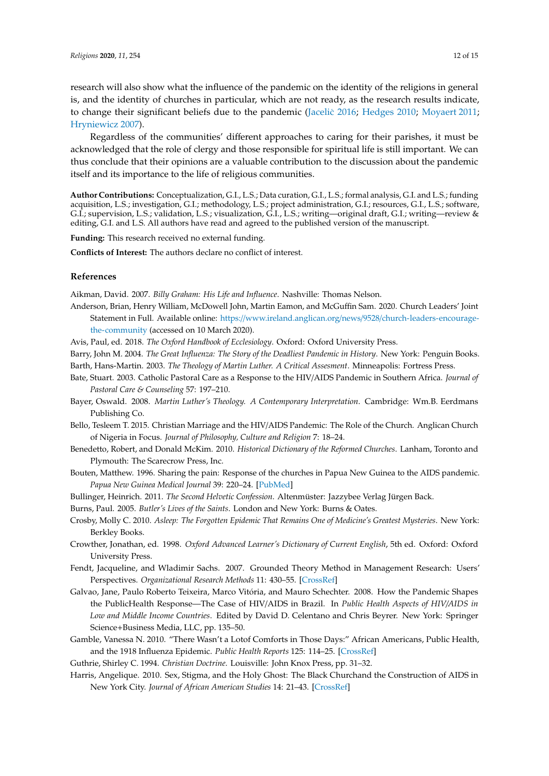research will also show what the influence of the pandemic on the identity of the religions in general is, and the identity of churches in particular, which are not ready, as the research results indicate, to change their significant beliefs due to the pandemic [\(Jacelic˙](#page-12-16) [2016;](#page-12-16) [Hedges](#page-12-17) [2010;](#page-12-17) [Moyaert](#page-12-18) [2011;](#page-12-18) [Hryniewicz](#page-12-19) [2007\)](#page-12-19).

Regardless of the communities' different approaches to caring for their parishes, it must be acknowledged that the role of clergy and those responsible for spiritual life is still important. We can thus conclude that their opinions are a valuable contribution to the discussion about the pandemic itself and its importance to the life of religious communities.

**Author Contributions:** Conceptualization, G.I., L.S.; Data curation, G.I., L.S.; formal analysis, G.I. and L.S.; funding acquisition, L.S.; investigation, G.I.; methodology, L.S.; project administration, G.I.; resources, G.I., L.S.; software, G.I.; supervision, L.S.; validation, L.S.; visualization, G.I., L.S.; writing—original draft, G.I.; writing—review & editing, G.I. and L.S. All authors have read and agreed to the published version of the manuscript.

**Funding:** This research received no external funding.

**Conflicts of Interest:** The authors declare no conflict of interest.

## **References**

<span id="page-11-15"></span>Aikman, David. 2007. *Billy Graham: His Life and Influence*. Nashville: Thomas Nelson.

- <span id="page-11-17"></span>Anderson, Brian, Henry William, McDowell John, Martin Eamon, and McGuffin Sam. 2020. Church Leaders' Joint Statement in Full. Available online: https://www.ireland.anglican.org/news/9528/[church-leaders-encourage](https://www.ireland.anglican.org/news/9528/church-leaders-encourage-the-community)[the-community](https://www.ireland.anglican.org/news/9528/church-leaders-encourage-the-community) (accessed on 10 March 2020).
- <span id="page-11-18"></span>Avis, Paul, ed. 2018. *The Oxford Handbook of Ecclesiology*. Oxford: Oxford University Press.
- <span id="page-11-10"></span><span id="page-11-3"></span>Barry, John M. 2004. *The Great Influenza: The Story of the Deadliest Pandemic in History*. New York: Penguin Books. Barth, Hans-Martin. 2003. *The Theology of Martin Luther. A Critical Assesment*. Minneapolis: Fortress Press.
- <span id="page-11-5"></span>Bate, Stuart. 2003. Catholic Pastoral Care as a Response to the HIV/AIDS Pandemic in Southern Africa. *Journal of Pastoral Care & Counseling* 57: 197–210.
- <span id="page-11-11"></span>Bayer, Oswald. 2008. *Martin Luther's Theology. A Contemporary Interpretation*. Cambridge: Wm.B. Eerdmans Publishing Co.
- <span id="page-11-8"></span>Bello, Tesleem T. 2015. Christian Marriage and the HIV/AIDS Pandemic: The Role of the Church. Anglican Church of Nigeria in Focus. *Journal of Philosophy, Culture and Religion* 7: 18–24.
- <span id="page-11-13"></span>Benedetto, Robert, and Donald McKim. 2010. *Historical Dictionary of the Reformed Churches*. Lanham, Toronto and Plymouth: The Scarecrow Press, Inc.
- <span id="page-11-6"></span>Bouten, Matthew. 1996. Sharing the pain: Response of the churches in Papua New Guinea to the AIDS pandemic. *Papua New Guinea Medical Journal* 39: 220–24. [\[PubMed\]](http://www.ncbi.nlm.nih.gov/pubmed/9795568)
- <span id="page-11-14"></span>Bullinger, Heinrich. 2011. *The Second Helvetic Confession*. Altenmüster: Jazzybee Verlag Jürgen Back.

<span id="page-11-1"></span>Burns, Paul. 2005. *Butler's Lives of the Saints*. London and New York: Burns & Oates.

- <span id="page-11-4"></span>Crosby, Molly C. 2010. *Asleep: The Forgotten Epidemic That Remains One of Medicine's Greatest Mysteries*. New York: Berkley Books.
- <span id="page-11-0"></span>Crowther, Jonathan, ed. 1998. *Oxford Advanced Learner's Dictionary of Current English*, 5th ed. Oxford: Oxford University Press.
- <span id="page-11-9"></span>Fendt, Jacqueline, and Wladimir Sachs. 2007. Grounded Theory Method in Management Research: Users' Perspectives. *Organizational Research Methods* 11: 430–55. [\[CrossRef\]](http://dx.doi.org/10.1177/1094428106297812)
- <span id="page-11-7"></span>Galvao, Jane, Paulo Roberto Teixeira, Marco Vitória, and Mauro Schechter. 2008. How the Pandemic Shapes the PublicHealth Response—The Case of HIV/AIDS in Brazil. In *Public Health Aspects of HIV*/*AIDS in Low and Middle Income Countries*. Edited by David D. Celentano and Chris Beyrer. New York: Springer Science+Business Media, LLC, pp. 135–50.
- <span id="page-11-2"></span>Gamble, Vanessa N. 2010. "There Wasn't a Lotof Comforts in Those Days:" African Americans, Public Health, and the 1918 Influenza Epidemic. *Public Health Reports* 125: 114–25. [\[CrossRef\]](http://dx.doi.org/10.1177/00333549101250S314)

<span id="page-11-16"></span><span id="page-11-12"></span>Guthrie, Shirley C. 1994. *Christian Doctrine*. Louisville: John Knox Press, pp. 31–32.

Harris, Angelique. 2010. Sex, Stigma, and the Holy Ghost: The Black Churchand the Construction of AIDS in New York City. *Journal of African American Studies* 14: 21–43. [\[CrossRef\]](http://dx.doi.org/10.1007/s12111-009-9105-6)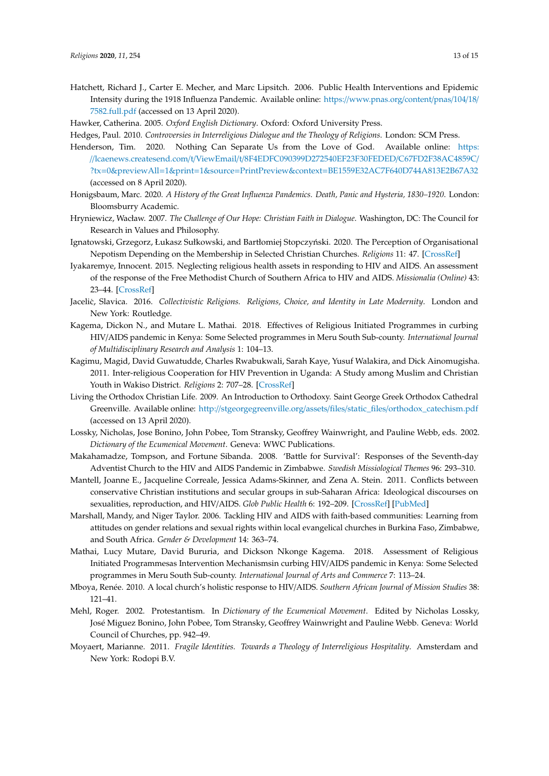- <span id="page-12-14"></span>Hatchett, Richard J., Carter E. Mecher, and Marc Lipsitch. 2006. Public Health Interventions and Epidemic Intensity during the 1918 Influenza Pandemic. Available online: https://[www.pnas.org](https://www.pnas.org/content/pnas/104/18/7582.full.pdf)/content/pnas/104/18/ [7582.full.pdf](https://www.pnas.org/content/pnas/104/18/7582.full.pdf) (accessed on 13 April 2020).
- <span id="page-12-17"></span><span id="page-12-0"></span>Hawker, Catherina. 2005. *Oxford English Dictionary*. Oxford: Oxford University Press.
- Hedges, Paul. 2010. *Controversies in Interreligious Dialogue and the Theology of Religions*. London: SCM Press.
- <span id="page-12-13"></span>Henderson, Tim. 2020. Nothing Can Separate Us from the Love of God. Available online: [https:](https://lcaenews.createsend.com/t/ViewEmail/t/8F4EDFC090399D272540EF23F30FEDED/C67FD2F38AC4859C/?tx=0&previewAll=1&print=1&source=PrintPreview&context=BE1559E32AC7F640D744A813E2B67A32) //lcaenews.createsend.com/t/ViewEmail/t/[8F4EDFC090399D272540EF23F30FEDED](https://lcaenews.createsend.com/t/ViewEmail/t/8F4EDFC090399D272540EF23F30FEDED/C67FD2F38AC4859C/?tx=0&previewAll=1&print=1&source=PrintPreview&context=BE1559E32AC7F640D744A813E2B67A32)/C67FD2F38AC4859C/ ?tx=0&previewAll=1&print=1&source=PrintPreview&context=[BE1559E32AC7F640D744A813E2B67A32](https://lcaenews.createsend.com/t/ViewEmail/t/8F4EDFC090399D272540EF23F30FEDED/C67FD2F38AC4859C/?tx=0&previewAll=1&print=1&source=PrintPreview&context=BE1559E32AC7F640D744A813E2B67A32) (accessed on 8 April 2020).
- <span id="page-12-1"></span>Honigsbaum, Marc. 2020. *A History of the Great Influenza Pandemics. Death, Panic and Hysteria, 1830–1920*. London: Bloomsburry Academic.
- <span id="page-12-19"></span>Hryniewicz, Wacław. 2007. *The Challenge of Our Hope: Christian Faith in Dialogue*. Washington, DC: The Council for Research in Values and Philosophy.
- <span id="page-12-10"></span>Ignatowski, Grzegorz, Łukasz Sułkowski, and Bartłomiej Stopczyński. 2020. The Perception of Organisational Nepotism Depending on the Membership in Selected Christian Churches. *Religions* 11: 47. [\[CrossRef\]](http://dx.doi.org/10.3390/rel11010047)
- <span id="page-12-7"></span>Iyakaremye, Innocent. 2015. Neglecting religious health assets in responding to HIV and AIDS. An assessment of the response of the Free Methodist Church of Southern Africa to HIV and AIDS. *Missionalia (Online)* 43: 23–44. [\[CrossRef\]](http://dx.doi.org/10.7832/43-1-80)
- <span id="page-12-16"></span>Jacelic, Slavica. 2016. Collectivistic Religions. Religions, Choice, and Identity in Late Modernity. London and New York: Routledge.
- <span id="page-12-8"></span>Kagema, Dickon N., and Mutare L. Mathai. 2018. Effectives of Religious Initiated Programmes in curbing HIV/AIDS pandemic in Kenya: Some Selected programmes in Meru South Sub-county. *International Journal of Multidisciplinary Research and Analysis* 1: 104–13.
- <span id="page-12-6"></span>Kagimu, Magid, David Guwatudde, Charles Rwabukwali, Sarah Kaye, Yusuf Walakira, and Dick Ainomugisha. 2011. Inter-religious Cooperation for HIV Prevention in Uganda: A Study among Muslim and Christian Youth in Wakiso District. *Religions* 2: 707–28. [\[CrossRef\]](http://dx.doi.org/10.3390/rel2040707)
- <span id="page-12-12"></span>Living the Orthodox Christian Life. 2009. An Introduction to Orthodoxy. Saint George Greek Orthodox Cathedral Greenville. Available online: http://stgeorgegreenville.org/assets/files/static\_files/[orthodox\\_catechism.pdf](http://stgeorgegreenville.org/assets/files/static_files/orthodox_catechism.pdf) (accessed on 13 April 2020).
- <span id="page-12-15"></span>Lossky, Nicholas, Jose Bonino, John Pobee, Tom Stransky, Geoffrey Wainwright, and Pauline Webb, eds. 2002. *Dictionary of the Ecumenical Movement*. Geneva: WWC Publications.
- <span id="page-12-4"></span>Makahamadze, Tompson, and Fortune Sibanda. 2008. 'Battle for Survival': Responses of the Seventh-day Adventist Church to the HIV and AIDS Pandemic in Zimbabwe. *Swedish Missiological Themes* 96: 293–310.
- <span id="page-12-2"></span>Mantell, Joanne E., Jacqueline Correale, Jessica Adams-Skinner, and Zena A. Stein. 2011. Conflicts between conservative Christian institutions and secular groups in sub-Saharan Africa: Ideological discourses on sexualities, reproduction, and HIV/AIDS. *Glob Public Health* 6: 192–209. [\[CrossRef\]](http://dx.doi.org/10.1080/17441692.2011.604039) [\[PubMed\]](http://www.ncbi.nlm.nih.gov/pubmed/21834733)
- <span id="page-12-3"></span>Marshall, Mandy, and Niger Taylor. 2006. Tackling HIV and AIDS with faith-based communities: Learning from attitudes on gender relations and sexual rights within local evangelical churches in Burkina Faso, Zimbabwe, and South Africa. *Gender & Development* 14: 363–74.
- <span id="page-12-9"></span>Mathai, Lucy Mutare, David Bururia, and Dickson Nkonge Kagema. 2018. Assessment of Religious Initiated Programmesas Intervention Mechanismsin curbing HIV/AIDS pandemic in Kenya: Some Selected programmes in Meru South Sub-county. *International Journal of Arts and Commerce* 7: 113–24.
- <span id="page-12-5"></span>Mboya, Renée. 2010. A local church's holistic response to HIV/AIDS. *Southern African Journal of Mission Studies* 38: 121–41.
- <span id="page-12-11"></span>Mehl, Roger. 2002. Protestantism. In *Dictionary of the Ecumenical Movement*. Edited by Nicholas Lossky, José Miguez Bonino, John Pobee, Tom Stransky, Geoffrey Wainwright and Pauline Webb. Geneva: World Council of Churches, pp. 942–49.
- <span id="page-12-18"></span>Moyaert, Marianne. 2011. *Fragile Identities. Towards a Theology of Interreligious Hospitality*. Amsterdam and New York: Rodopi B.V.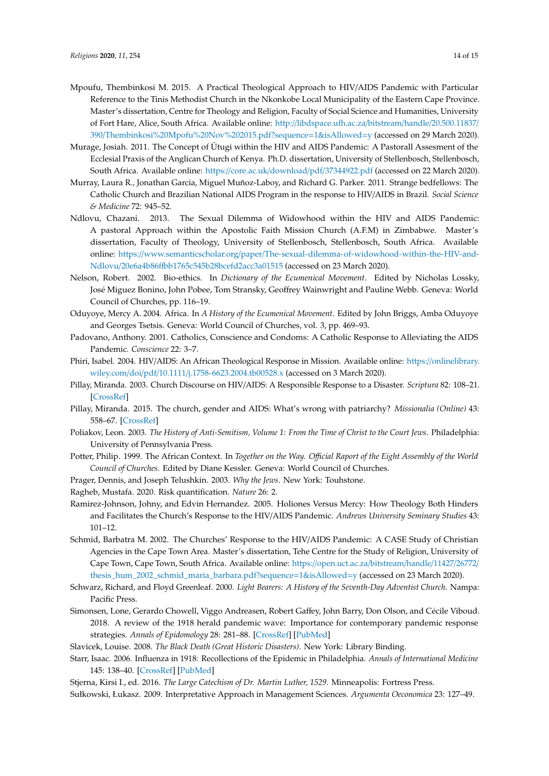- <span id="page-13-14"></span>Mpoufu, Thembinkosi M. 2015. A Practical Theological Approach to HIV/AIDS Pandemic with Particular Reference to the Tinis Methodist Church in the Nkonkobe Local Municipality of the Eastern Cape Province. Master's dissertation, Centre for Theology and Religion, Faculty of Social Science and Humanities, University of Fort Hare, Alice, South Africa. Available online: http://[libdspace.ufh.ac.za](http://libdspace.ufh.ac.za/bitstream/handle/20.500.11837/390/Thembinkosi%20Mpofu%20Nov%202015.pdf?sequence=1&isAllowed=y)/bitstream/handle/20.500.11837/ 390/[Thembinkosi%20Mpofu%20Nov%202015.pdf?sequence](http://libdspace.ufh.ac.za/bitstream/handle/20.500.11837/390/Thembinkosi%20Mpofu%20Nov%202015.pdf?sequence=1&isAllowed=y)=1&isAllowed=y (accessed on 29 March 2020).
- <span id="page-13-12"></span>Murage, Josiah. 2011. The Concept of Ũtugi within the HIV and AIDS Pandemic: A Pastorall Assesment of the Ecclesial Praxis of the Anglican Church of Kenya. Ph.D. dissertation, University of Stellenbosch, Stellenbosch, South Africa. Available online: https://core.ac.uk/download/pdf/[37344922.pdf](https://core.ac.uk/download/pdf/37344922.pdf) (accessed on 22 March 2020).
- <span id="page-13-11"></span>Murray, Laura R., Jonathan Garcia, Miguel Muñoz-Laboy, and Richard G. Parker. 2011. Strange bedfellows: The Catholic Church and Brazilian National AIDS Program in the response to HIV/AIDS in Brazil. *Social Science & Medicine* 72: 945–52.
- <span id="page-13-13"></span>Ndlovu, Chazani. 2013. The Sexual Dilemma of Widowhood within the HIV and AIDS Pandemic: A pastoral Approach within the Apostolic Faith Mission Church (A.F.M) in Zimbabwe. Master's dissertation, Faculty of Theology, University of Stellenbosch, Stellenbosch, South Africa. Available online: https://www.semanticscholar.org/paper/[The-sexual-dilemma-of-widowhood-within-the-HIV-and-](https://www.semanticscholar.org/paper/The-sexual-dilemma-of-widowhood-within-the-HIV-and-Ndlovu/20e6a4b86ffbb1765c545b28bcefd2acc3a01515)Ndlovu/20e6a4b86ff[bb1765c545b28bcefd2acc3a01515](https://www.semanticscholar.org/paper/The-sexual-dilemma-of-widowhood-within-the-HIV-and-Ndlovu/20e6a4b86ffbb1765c545b28bcefd2acc3a01515) (accessed on 23 March 2020).
- <span id="page-13-6"></span>Nelson, Robert. 2002. Bio-ethics. In *Dictionary of the Ecumenical Movement*. Edited by Nicholas Lossky, José Miguez Bonino, John Pobee, Tom Stransky, Geoffrey Wainwright and Pauline Webb. Geneva: World Council of Churches, pp. 116–19.
- <span id="page-13-7"></span>Oduyoye, Mercy A. 2004. Africa. In *A History of the Ecumenical Movement*. Edited by John Briggs, Amba Oduyoye and Georges Tsetsis. Geneva: World Council of Churches, vol. 3, pp. 469–93.
- <span id="page-13-5"></span>Padovano, Anthony. 2001. Catholics, Conscience and Condoms: A Catholic Response to Alleviating the AIDS Pandemic. *Conscience* 22: 3–7.
- <span id="page-13-15"></span>Phiri, Isabel. 2004. HIV/AIDS: An African Theological Response in Mission. Available online: https://[onlinelibrary.](https://onlinelibrary.wiley.com/doi/pdf/10.1111/j.1758-6623.2004.tb00528.x) wiley.com/doi/pdf/10.1111/[j.1758-6623.2004.tb00528.x](https://onlinelibrary.wiley.com/doi/pdf/10.1111/j.1758-6623.2004.tb00528.x) (accessed on 3 March 2020).
- <span id="page-13-10"></span>Pillay, Miranda. 2003. Church Discourse on HIV/AIDS: A Responsible Response to a Disaster. *Scriptura* 82: 108–21. [\[CrossRef\]](http://dx.doi.org/10.7833/82-0-902)
- <span id="page-13-8"></span>Pillay, Miranda. 2015. The church, gender and AIDS: What's wrong with patriarchy? *Missionalia (Online)* 43: 558–67. [\[CrossRef\]](http://dx.doi.org/10.7832/43-3-130)
- <span id="page-13-2"></span>Poliakov, Leon. 2003. *The History of Anti-Semitism, Volume 1: From the Time of Christ to the Court Jews*. Philadelphia: University of Pennsylvania Press.
- <span id="page-13-4"></span>Potter, Philip. 1999. The African Context. In *Together on the Way. O*ffi*cial Raport of the Eight Assembly of the World Council of Churches*. Edited by Diane Kessler. Geneva: World Council of Churches.

<span id="page-13-20"></span>Prager, Dennis, and Joseph Telushkin. 2003. *Why the Jews*. New York: Touhstone.

- <span id="page-13-0"></span>Ragheb, Mustafa. 2020. Risk quantification. *Nature* 26: 2.
- <span id="page-13-16"></span>Ramirez-Johnson, Johny, and Edvin Hernandez. 2005. Holiones Versus Mercy: How Theology Both Hinders and Facilitates the Church's Response to the HIV/AIDS Pandemic. *Andrews University Seminary Studies* 43: 101–12.
- <span id="page-13-9"></span>Schmid, Barbatra M. 2002. The Churches' Response to the HIV/AIDS Pandemic: A CASE Study of Christian Agencies in the Cape Town Area. Master's dissertation, Tehe Centre for the Study of Religion, University of Cape Town, Cape Town, South Africa. Available online: https://[open.uct.ac.za](https://open.uct.ac.za/bitstream/handle/11427/26772/thesis_hum_2002_schmid_maria_barbara.pdf?sequence=1&isAllowed=y)/bitstream/handle/11427/26772/ [thesis\\_hum\\_2002\\_schmid\\_maria\\_barbara.pdf?sequence](https://open.uct.ac.za/bitstream/handle/11427/26772/thesis_hum_2002_schmid_maria_barbara.pdf?sequence=1&isAllowed=y)=1&isAllowed=y (accessed on 23 March 2020).
- <span id="page-13-18"></span>Schwarz, Richard, and Floyd Greenleaf. 2000. *Light Bearers: A History of the Seventh-Day Adventist Church*. Nampa: Pacific Press.
- <span id="page-13-1"></span>Simonsen, Lone, Gerardo Chowell, Viggo Andreasen, Robert Gaffey, John Barry, Don Olson, and Cécile Viboud. 2018. A review of the 1918 herald pandemic wave: Importance for contemporary pandemic response strategies. *Annals of Epidomology* 28: 281–88. [\[CrossRef\]](http://dx.doi.org/10.1016/j.annepidem.2018.02.013) [\[PubMed\]](http://www.ncbi.nlm.nih.gov/pubmed/29530388)
- <span id="page-13-21"></span>Slavicek, Louise. 2008. *The Black Death (Great Historic Disasters)*. New York: Library Binding.
- <span id="page-13-3"></span>Starr, Isaac. 2006. Influenza in 1918: Recollections of the Epidemic in Philadelphia. *Annals of International Medicine* 145: 138–40. [\[CrossRef\]](http://dx.doi.org/10.7326/0003-4819-145-2-200607180-00132) [\[PubMed\]](http://www.ncbi.nlm.nih.gov/pubmed/16801626)
- <span id="page-13-19"></span>Stjerna, Kirsi I., ed. 2016. *The Large Catechism of Dr. Martin Luther, 1529*. Minneapolis: Fortress Press.

<span id="page-13-17"></span>Sułkowski, Łukasz. 2009. Interpretative Approach in Management Sciences. *Argumenta Oeconomica* 23: 127–49.